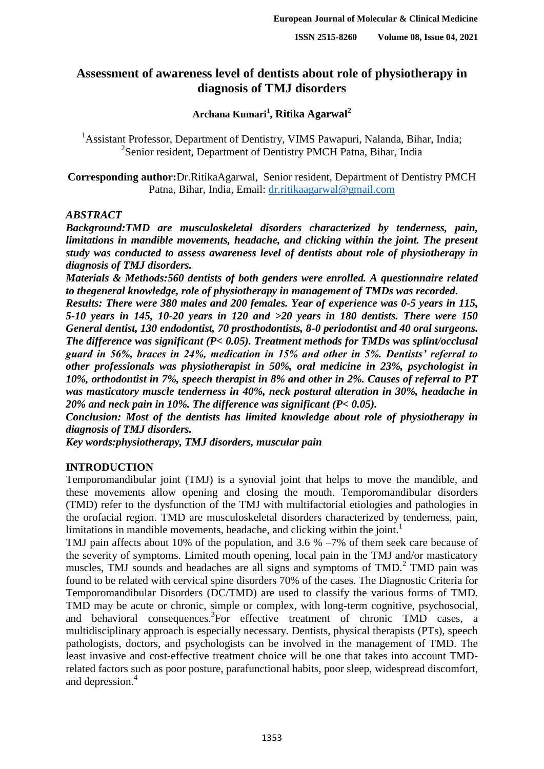# **Assessment of awareness level of dentists about role of physiotherapy in diagnosis of TMJ disorders**

# **Archana Kumari<sup>1</sup> , Ritika Agarwal<sup>2</sup>**

<sup>1</sup> Assistant Professor, Department of Dentistry, VIMS Pawapuri, Nalanda, Bihar, India; <sup>2</sup>Senior resident, Department of Dentistry PMCH Patna, Bihar, India

**Corresponding author:**Dr.RitikaAgarwal, Senior resident, Department of Dentistry PMCH Patna, Bihar, India, Email: [dr.ritikaagarwal@gmail.com](mailto:dr.ritikaagarwal@gmail.com)

### *ABSTRACT*

*Background:TMD are musculoskeletal disorders characterized by tenderness, pain, limitations in mandible movements, headache, and clicking within the joint. The present study was conducted to assess awareness level of dentists about role of physiotherapy in diagnosis of TMJ disorders.*

*Materials & Methods:560 dentists of both genders were enrolled. A questionnaire related to thegeneral knowledge, role of physiotherapy in management of TMDs was recorded.* 

*Results: There were 380 males and 200 females. Year of experience was 0-5 years in 115, 5-10 years in 145, 10-20 years in 120 and >20 years in 180 dentists. There were 150 General dentist, 130 endodontist, 70 prosthodontists, 8-0 periodontist and 40 oral surgeons. The difference was significant (P< 0.05). Treatment methods for TMDs was splint/occlusal guard in 56%, braces in 24%, medication in 15% and other in 5%. Dentists' referral to other professionals was physiotherapist in 50%, oral medicine in 23%, psychologist in 10%, orthodontist in 7%, speech therapist in 8% and other in 2%. Causes of referral to PT was masticatory muscle tenderness in 40%, neck postural alteration in 30%, headache in 20% and neck pain in 10%. The difference was significant (P< 0.05).*

*Conclusion: Most of the dentists has limited knowledge about role of physiotherapy in diagnosis of TMJ disorders.*

*Key words:physiotherapy, TMJ disorders, muscular pain*

# **INTRODUCTION**

Temporomandibular joint (TMJ) is a synovial joint that helps to move the mandible, and these movements allow opening and closing the mouth. Temporomandibular disorders (TMD) refer to the dysfunction of the TMJ with multifactorial etiologies and pathologies in the orofacial region. TMD are musculoskeletal disorders characterized by tenderness, pain, limitations in mandible movements, headache, and clicking within the joint.<sup>1</sup>

TMJ pain affects about 10% of the population, and 3.6 % –7% of them seek care because of the severity of symptoms. Limited mouth opening, local pain in the TMJ and/or masticatory muscles, TMJ sounds and headaches are all signs and symptoms of TMD.<sup>2</sup> TMD pain was found to be related with cervical spine disorders 70% of the cases. The Diagnostic Criteria for Temporomandibular Disorders (DC/TMD) are used to classify the various forms of TMD. TMD may be acute or chronic, simple or complex, with long-term cognitive, psychosocial, and behavioral consequences.<sup>3</sup>For effective treatment of chronic TMD cases, a multidisciplinary approach is especially necessary. Dentists, physical therapists (PTs), speech pathologists, doctors, and psychologists can be involved in the management of TMD. The least invasive and cost-effective treatment choice will be one that takes into account TMDrelated factors such as poor posture, parafunctional habits, poor sleep, widespread discomfort, and depression.<sup>4</sup>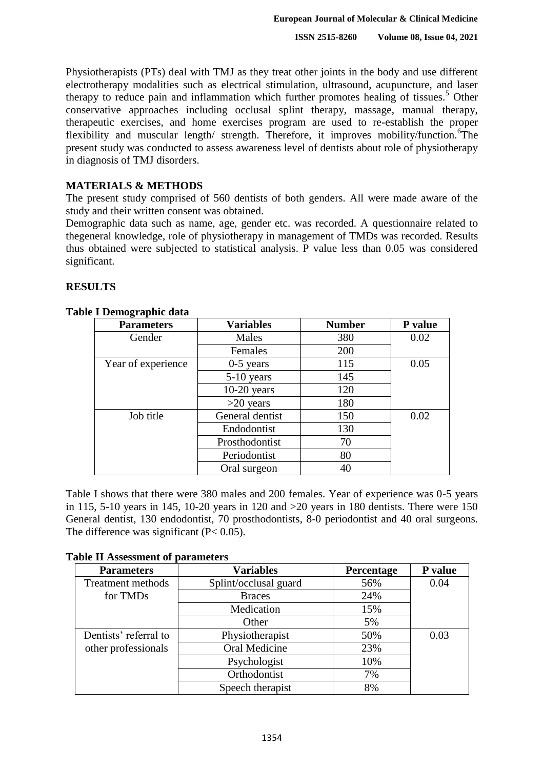Physiotherapists (PTs) deal with TMJ as they treat other joints in the body and use different electrotherapy modalities such as electrical stimulation, ultrasound, acupuncture, and laser therapy to reduce pain and inflammation which further promotes healing of tissues.<sup>5</sup> Other conservative approaches including occlusal splint therapy, massage, manual therapy, therapeutic exercises, and home exercises program are used to re-establish the proper flexibility and muscular length/ strength. Therefore, it improves mobility/function.<sup>6</sup>The present study was conducted to assess awareness level of dentists about role of physiotherapy in diagnosis of TMJ disorders.

# **MATERIALS & METHODS**

The present study comprised of 560 dentists of both genders. All were made aware of the study and their written consent was obtained.

Demographic data such as name, age, gender etc. was recorded. A questionnaire related to thegeneral knowledge, role of physiotherapy in management of TMDs was recorded. Results thus obtained were subjected to statistical analysis. P value less than 0.05 was considered significant.

# **RESULTS**

| 1 Deniographic uata |                  |               |         |
|---------------------|------------------|---------------|---------|
| <b>Parameters</b>   | <b>Variables</b> | <b>Number</b> | P value |
| Gender              | Males            | 380           | 0.02    |
|                     | Females          | 200           |         |
| Year of experience  | $0-5$ years      | 115           | 0.05    |
|                     | $5-10$ years     | 145           |         |
|                     | $10-20$ years    | 120           |         |
|                     | $>20$ years      | 180           |         |
| Job title           | General dentist  | 150           | 0.02    |
|                     | Endodontist      | 130           |         |
|                     | Prosthodontist   | 70            |         |
|                     | Periodontist     | 80            |         |
|                     | Oral surgeon     | 40            |         |

# **Table I Demographic data**

Table I shows that there were 380 males and 200 females. Year of experience was 0-5 years in 115, 5-10 years in 145, 10-20 years in 120 and  $>20$  years in 180 dentists. There were 150 General dentist, 130 endodontist, 70 prosthodontists, 8-0 periodontist and 40 oral surgeons. The difference was significant (P< 0.05).

#### **Table II Assessment of parameters**

| <b>Parameters</b>        | <b>Variables</b>      | Percentage | P value |
|--------------------------|-----------------------|------------|---------|
| <b>Treatment methods</b> | Splint/occlusal guard | 56%        | 0.04    |
| for TMD <sub>s</sub>     | <b>Braces</b>         | 24%        |         |
|                          | Medication            | 15%        |         |
|                          | Other                 | 5%         |         |
| Dentists' referral to    | Physiotherapist       | 50%        | 0.03    |
| other professionals      | Oral Medicine         | 23%        |         |
|                          | Psychologist          | 10%        |         |
|                          | Orthodontist          | 7%         |         |
|                          | Speech therapist      | 8%         |         |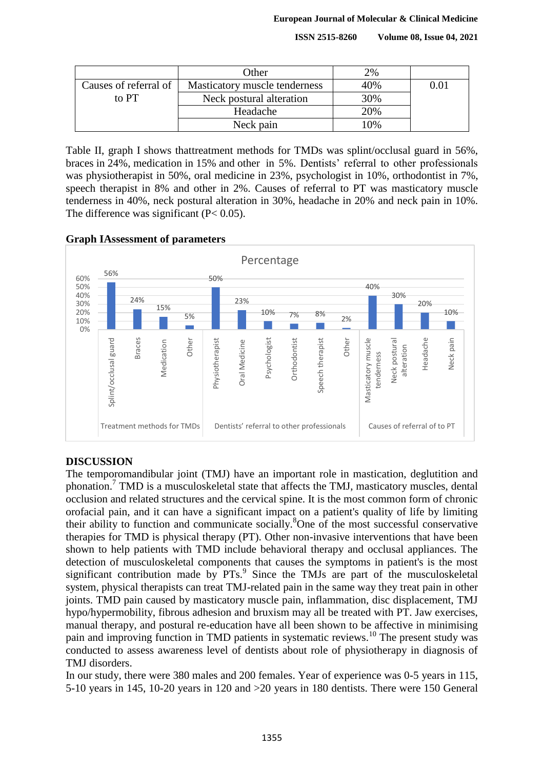**ISSN 2515-8260 Volume 08, Issue 04, 2021**

|                       | Other                         | 2%  |  |
|-----------------------|-------------------------------|-----|--|
| Causes of referral of | Masticatory muscle tenderness | 40% |  |
| to PT                 | Neck postural alteration      | 30% |  |
|                       | Headache                      | 20% |  |
|                       | Neck pain                     | 10% |  |

Table II, graph I shows thattreatment methods for TMDs was splint/occlusal guard in 56%, braces in 24%, medication in 15% and other in 5%. Dentists' referral to other professionals was physiotherapist in 50%, oral medicine in 23%, psychologist in 10%, orthodontist in 7%, speech therapist in 8% and other in 2%. Causes of referral to PT was masticatory muscle tenderness in 40%, neck postural alteration in 30%, headache in 20% and neck pain in 10%. The difference was significant (P< 0.05).

#### **Graph IAssessment of parameters**



# **DISCUSSION**

The temporomandibular joint (TMJ) have an important role in mastication, deglutition and phonation.<sup>7</sup> TMD is a musculoskeletal state that affects the TMJ, masticatory muscles, dental occlusion and related structures and the cervical spine. It is the most common form of chronic orofacial pain, and it can have a significant impact on a patient's quality of life by limiting their ability to function and communicate socially.<sup>8</sup>One of the most successful conservative therapies for TMD is physical therapy (PT). Other non-invasive interventions that have been shown to help patients with TMD include behavioral therapy and occlusal appliances. The detection of musculoskeletal components that causes the symptoms in patient's is the most significant contribution made by PTs.<sup>9</sup> Since the TMJs are part of the musculoskeletal system, physical therapists can treat TMJ-related pain in the same way they treat pain in other joints. TMD pain caused by masticatory muscle pain, inflammation, disc displacement, TMJ hypo/hypermobility, fibrous adhesion and bruxism may all be treated with PT. Jaw exercises, manual therapy, and postural re-education have all been shown to be affective in minimising pain and improving function in TMD patients in systematic reviews.<sup>10</sup> The present study was conducted to assess awareness level of dentists about role of physiotherapy in diagnosis of TMJ disorders.

In our study, there were 380 males and 200 females. Year of experience was 0-5 years in 115, 5-10 years in 145, 10-20 years in 120 and >20 years in 180 dentists. There were 150 General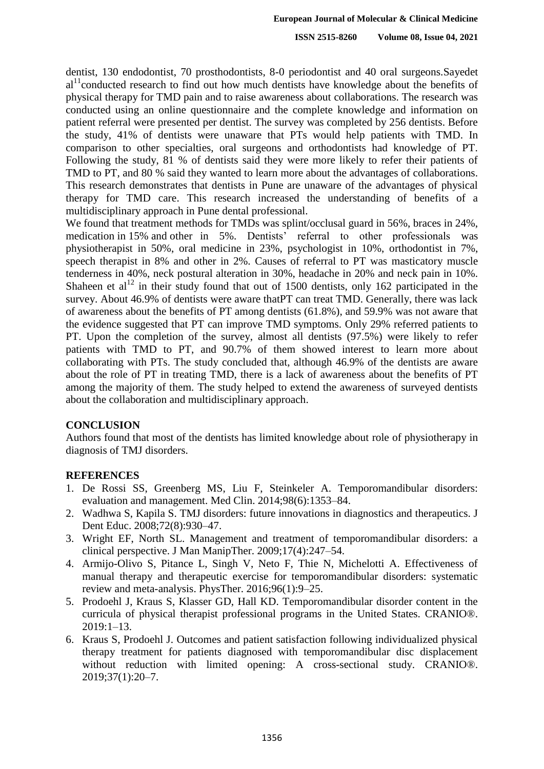dentist, 130 endodontist, 70 prosthodontists, 8-0 periodontist and 40 oral surgeons.Sayedet  $al<sup>11</sup>$ conducted research to find out how much dentists have knowledge about the benefits of physical therapy for TMD pain and to raise awareness about collaborations. The research was conducted using an online questionnaire and the complete knowledge and information on patient referral were presented per dentist. The survey was completed by 256 dentists. Before the study, 41% of dentists were unaware that PTs would help patients with TMD. In comparison to other specialties, oral surgeons and orthodontists had knowledge of PT. Following the study, 81 % of dentists said they were more likely to refer their patients of TMD to PT, and 80 % said they wanted to learn more about the advantages of collaborations. This research demonstrates that dentists in Pune are unaware of the advantages of physical therapy for TMD care. This research increased the understanding of benefits of a multidisciplinary approach in Pune dental professional.

We found that treatment methods for TMDs was splint/occlusal guard in 56%, braces in 24%, medication in 15% and other in 5%. Dentists' referral to other professionals was physiotherapist in 50%, oral medicine in 23%, psychologist in 10%, orthodontist in 7%, speech therapist in 8% and other in 2%. Causes of referral to PT was masticatory muscle tenderness in 40%, neck postural alteration in 30%, headache in 20% and neck pain in 10%. Shaheen et  $al<sup>12</sup>$  in their study found that out of 1500 dentists, only 162 participated in the survey. About 46.9% of dentists were aware thatPT can treat TMD. Generally, there was lack of awareness about the benefits of PT among dentists (61.8%), and 59.9% was not aware that the evidence suggested that PT can improve TMD symptoms. Only 29% referred patients to PT. Upon the completion of the survey, almost all dentists (97.5%) were likely to refer patients with TMD to PT, and 90.7% of them showed interest to learn more about collaborating with PTs. The study concluded that, although 46.9% of the dentists are aware about the role of PT in treating TMD, there is a lack of awareness about the benefits of PT among the majority of them. The study helped to extend the awareness of surveyed dentists about the collaboration and multidisciplinary approach.

# **CONCLUSION**

Authors found that most of the dentists has limited knowledge about role of physiotherapy in diagnosis of TMJ disorders.

# **REFERENCES**

- 1. De Rossi SS, Greenberg MS, Liu F, Steinkeler A. Temporomandibular disorders: evaluation and management. Med Clin. 2014;98(6):1353–84.
- 2. Wadhwa S, Kapila S. TMJ disorders: future innovations in diagnostics and therapeutics. J Dent Educ. 2008;72(8):930–47.
- 3. Wright EF, North SL. Management and treatment of temporomandibular disorders: a clinical perspective. J Man ManipTher. 2009;17(4):247–54.
- 4. Armijo-Olivo S, Pitance L, Singh V, Neto F, Thie N, Michelotti A. Effectiveness of manual therapy and therapeutic exercise for temporomandibular disorders: systematic review and meta-analysis. PhysTher. 2016;96(1):9–25.
- 5. Prodoehl J, Kraus S, Klasser GD, Hall KD. Temporomandibular disorder content in the curricula of physical therapist professional programs in the United States. CRANIO®.  $2019:1-13$ .
- 6. Kraus S, Prodoehl J. Outcomes and patient satisfaction following individualized physical therapy treatment for patients diagnosed with temporomandibular disc displacement without reduction with limited opening: A cross-sectional study. CRANIO<sup>®</sup>. 2019;37(1):20–7.